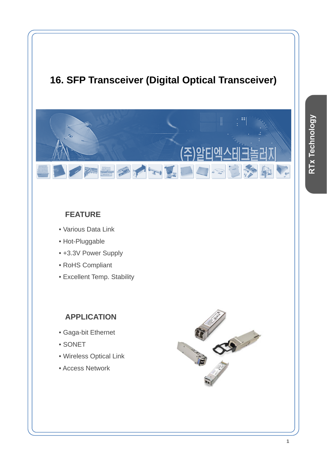

### **FEATURE**

- Various Data Link
- Hot-Pluggable
- +3.3V Power Supply
- RoHS Compliant
- Excellent Temp. Stability

### **APPLICATION**

- Gaga-bit Ethernet
- SONET
- Wireless Optical Link
- Access Network

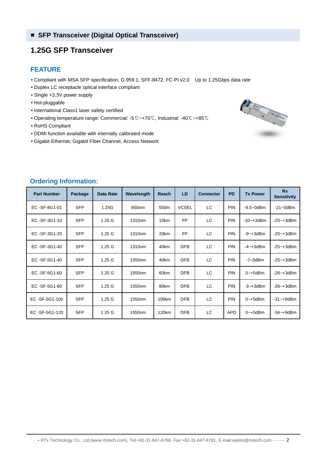### **1.25G SFP Transceiver**

#### **FEATURE**

- Compliant with MSA SFP specification, G.959.1, SFF-8472, FC-PI v2.0 Up to 1.25Gbps data rate
- Duplex LC receptacle optical interface compliant
- Single +3.3V power supply
- Hot-pluggable
- International Class1 laser safety certified
- Operating temperature range: Commercial: -5℃~+70℃, Industrial: -40℃~+85℃
- RoHS Compliant
- DDMI function available with internally calibrated mode
- Gigabit Ethernet, Gigabit Fiber Channel, Access Network



| <b>Part Number</b> | Package    | Data Rate         | Wavelength         | <b>Reach</b>     | <b>LD</b>    | <b>Connector</b> | <b>PD</b>  | <b>Tx Power</b> | <b>Rx</b><br><b>Sensitivity</b> |
|--------------------|------------|-------------------|--------------------|------------------|--------------|------------------|------------|-----------------|---------------------------------|
| EC-SF-8G1-01       | <b>SFP</b> | 1.25G             | 850nm              | 550 <sub>m</sub> | <b>VCSEL</b> | LC.              | <b>PIN</b> | $-9.5 - 0$ dBm  | $-21 - 0$ dBm                   |
| EC-SF-3G1-10       | <b>SFP</b> | 1.25G             | 1310 <sub>nm</sub> | 10km             | <b>FP</b>    | LC               | <b>PIN</b> | $-10 - +3$ dBm  | $-25 - +3d$ Bm                  |
| EC-SF-3G1-20       | <b>SFP</b> | 1.25G             | 1310nm             | 20km             | <b>FP</b>    | LC               | <b>PIN</b> | $-9 - +3d$ Bm   | $-25 - +3d$ Bm                  |
| EC-SF-3G1-40       | <b>SFP</b> | 1.25G             | 1310nm             | 40km             | <b>DFB</b>   | LC.              | <b>PIN</b> | $-4 - +3$ dBm   | $-25 - +3d$ Bm                  |
| EC-SF-5G1-40       | <b>SFP</b> | 1.25G             | 1550nm             | 40km             | <b>DFB</b>   | LC.              | <b>PIN</b> | $-7$ ~0dBm      | $-25 - +3d$ Bm                  |
| EC-SF-5G1-60       | <b>SFP</b> | 1.25 <sub>G</sub> | 1550nm             | 60km             | <b>DFB</b>   | LC               | <b>PIN</b> | $0$ ~+5dBm      | $-26 - +3d$ Bm                  |
| EC-SF-5G1-80       | <b>SFP</b> | 1.25 <sub>G</sub> | 1550nm             | 80km             | <b>DFB</b>   | LC               | <b>PIN</b> | $-3 - +3d$ Bm   | $-26 - +3d$ Bm                  |
| EC-SF-5G1-100      | <b>SFP</b> | 1.25 <sub>G</sub> | 1550nm             | 100km            | <b>DFB</b>   | LC               | <b>PIN</b> | $0$ ~+5dBm      | $-31 - +9$ dBm                  |
| EC-SF-5G1-120      | <b>SFP</b> | 1.25 <sub>G</sub> | 1550nm             | 120km            | <b>DFB</b>   | LC               | <b>APD</b> | $0$ ~+5dBm      | $-34 - +9d$ Bm                  |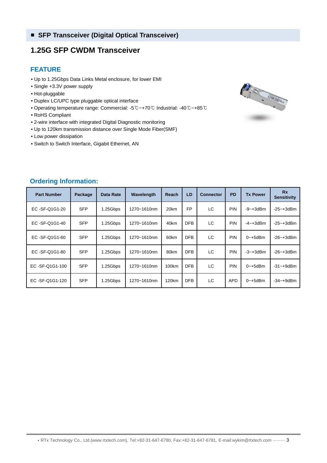### **1.25G SFP CWDM Transceiver**

#### **FEATURE**

- Up to 1.25Gbps Data Links Metal enclosure, for lower EMI
- Single +3.3V power supply
- Hot-pluggable
- Duplex LC/UPC type pluggable optical interface
- Operating temperature range: Commercial: -5℃~+70℃ Industrial: -40℃~+85℃
- RoHS Compliant
- 2-wire interface with integrated Digital Diagnostic monitoring
- Up to 120km transmission distance over Single Mode Fiber(SMF)
- Low power dissipation
- Switch to Switch Interface, Gigabit Ethernet, AN



| <b>Part Number</b> | Package    | Data Rate | Wavelength  | <b>Reach</b> | LD         | <b>Connector</b> | <b>PD</b>  | <b>Tx Power</b> | Rx<br><b>Sensitivity</b> |
|--------------------|------------|-----------|-------------|--------------|------------|------------------|------------|-----------------|--------------------------|
| EC-SF-Q1G1-20      | <b>SFP</b> | 1.25Gbps  | 1270~1610nm | 20km         | <b>FP</b>  | LC.              | <b>PIN</b> | $-9 - +3d$ Bm   | $-25 - +3d$ Bm           |
| EC-SF-Q1G1-40      | <b>SFP</b> | 1.25Gbps  | 1270~1610nm | 40km         | <b>DFB</b> | LC               | <b>PIN</b> | $-4 - +3d$ Bm   | $-25 - +3d$ Bm           |
| EC-SF-Q1G1-60      | <b>SFP</b> | 1.25Gbps  | 1270~1610nm | 60km         | <b>DFB</b> | LC               | <b>PIN</b> | $0$ ~+5dBm      | $-26 - +3d$ Bm           |
| EC-SF-Q1G1-80      | <b>SFP</b> | 1.25Gbps  | 1270~1610nm | 80km         | <b>DFB</b> | LC               | <b>PIN</b> | $-3 - +3d$ Bm   | $-26 - +3d$ Bm           |
| EC-SF-Q1G1-100     | <b>SFP</b> | 1.25Gbps  | 1270~1610nm | 100km        | <b>DFB</b> | LC               | PIN        | $0$ ~+5dBm      | $-31 - +9$ dBm           |
| EC-SF-Q1G1-120     | <b>SFP</b> | 1.25Gbps  | 1270~1610nm | 120km        | <b>DFB</b> | LC               | <b>APD</b> | $0$ ~+5dBm      | $-34 - +9d$ Bm           |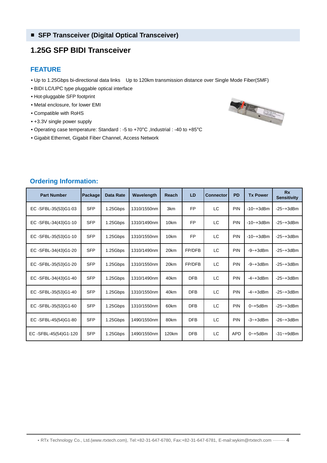### **1.25G SFP BIDI Transceiver**

#### **FEATURE**

- Up to 1.25Gbps bi-directional data links Up to 120km transmission distance over Single Mode Fiber(SMF)
- BIDI LC/UPC type pluggable optical interface
- Hot-pluggable SFP footprint
- Metal enclosure, for lower EMI
- Compatible with RoHS
- +3.3V single power supply
- Operating case temperature: Standard : -5 to +70°C ,Industrial : -40 to +85°C
- Gigabit Ethernet, Gigabit Fiber Channel, Access Network



| <b>Part Number</b>   | Package    | <b>Data Rate</b> | Wavelength  | Reach | LD.        | <b>Connector</b> | <b>PD</b>  | <b>Tx Power</b> | Rx<br><b>Sensitivity</b> |
|----------------------|------------|------------------|-------------|-------|------------|------------------|------------|-----------------|--------------------------|
| EC-SFBL-35(53)G1-03  | <b>SFP</b> | 1.25Gbps         | 1310/1550nm | 3km   | <b>FP</b>  | <b>LC</b>        | PIN        | $-10 - +3$ dBm  | $-25 - +3d$ Bm           |
| EC-SFBL-34(43)G1-10  | <b>SFP</b> | 1.25Gbps         | 1310/1490nm | 10km  | <b>FP</b>  | LC               | PIN        | $-10 - +3$ dBm  | $-25 - +3d$ Bm           |
| EC-SFBL-35(53)G1-10  | <b>SFP</b> | 1.25Gbps         | 1310/1550nm | 10km  | <b>FP</b>  | LC               | <b>PIN</b> | $-10 - +3$ dBm  | $-25 - +3d$ Bm           |
| EC-SFBL-34(43)G1-20  | <b>SFP</b> | 1.25Gbps         | 1310/1490nm | 20km  | FP/DFB     | LC               | PIN        | $-9 - +3d$ Bm   | $-25 - +3d$ Bm           |
| EC-SFBL-35(53)G1-20  | <b>SFP</b> | 1.25Gbps         | 1310/1550nm | 20km  | FP/DFB     | LC               | <b>PIN</b> | $-9 - +3d$ Bm   | $-25 - +3d$ Bm           |
| EC-SFBL-34(43)G1-40  | <b>SFP</b> | 1.25Gbps         | 1310/1490nm | 40km  | <b>DFB</b> | LC               | PIN        | $-4 - +3d$ Bm   | $-25 - +3d$ Bm           |
| EC-SFBL-35(53)G1-40  | <b>SFP</b> | 1.25Gbps         | 1310/1550nm | 40km  | <b>DFB</b> | <b>LC</b>        | PIN        | $-4 - +3d$ Bm   | $-25 - +3d$ Bm           |
| EC-SFBL-35(53)G1-60  | <b>SFP</b> | 1.25Gbps         | 1310/1550nm | 60km  | <b>DFB</b> | LC               | PIN        | $0$ ~+5dBm      | $-25 - +3d$ Bm           |
| EC-SFBL-45(54)G1-80  | <b>SFP</b> | 1.25Gbps         | 1490/1550nm | 80km  | <b>DFB</b> | LC               | <b>PIN</b> | $-3 - +3d$ Bm   | $-26 - +3d$ Bm           |
| EC-SFBL-45(54)G1-120 | <b>SFP</b> | 1.25Gbps         | 1490/1550nm | 120km | <b>DFB</b> | LC               | <b>APD</b> | $0$ ~+5dBm      | $-31 - +9$ dBm           |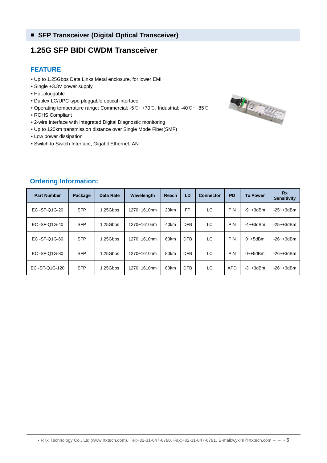### **1.25G SFP BIDI CWDM Transceiver**

#### **FEATURE**

- Up to 1.25Gbps Data Links Metal enclosure, for lower EMI
- Single +3.3V power supply
- Hot-pluggable
- Duplex LC/UPC type pluggable optical interface
- Operating temperature range: Commercial: -5℃~+70℃, Industrial: -40℃~+85℃
- ROHS Compliant
- 2-wire interface with integrated Digital Diagnostic monitoring
- Up to 120km transmission distance over Single Mode Fiber(SMF)
- Low power dissipation
- Switch to Switch Interface, Gigabit Ethernet, AN



| <b>Part Number</b> | Package    | Data Rate | Wavelength  | Reach | LD         | <b>Connector</b> | <b>PD</b>  | <b>Tx Power</b> | <b>Rx</b><br><b>Sensitivity</b> |
|--------------------|------------|-----------|-------------|-------|------------|------------------|------------|-----------------|---------------------------------|
| EC-SF-Q1G-20       | <b>SFP</b> | 1.25Gbps  | 1270~1610nm | 20km  | <b>FP</b>  | LC               | PIN        | $-9 - +3d$ Bm   | $-25 - +3d$ Bm                  |
| EC-SF-Q1G-40       | <b>SFP</b> | 1.25Gbps  | 1270~1610nm | 40km  | <b>DFB</b> | LC               | PIN        | $-4 - +3d$ Bm   | $-25 - +3d$ Bm                  |
| EC-SF-Q1G-60       | <b>SFP</b> | 1.25Gbps  | 1270~1610nm | 60km  | <b>DFB</b> | LC               | PIN        | $0$ ~+5dBm      | $-26 - +3d$ Bm                  |
| EC-SF-Q1G-80       | <b>SFP</b> | 1.25Gbps  | 1270~1610nm | 80km  | <b>DFB</b> | LC               | PIN        | $0$ ~+5dBm      | $-26 - +3d$ Bm                  |
| EC-SF-Q1G-120      | <b>SFP</b> | 1.25Gbps  | 1270~1610nm | 80km  | <b>DFB</b> | LC               | <b>APD</b> | $-3 - +3d$ Bm   | $-26 - +3d$ Bm                  |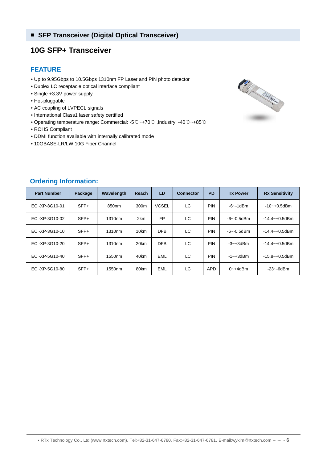### **10G SFP+ Transceiver**

#### **FEATURE**

- Up to 9.95Gbps to 10.5Gbps 1310nm FP Laser and PIN photo detector
- Duplex LC receptacle optical interface compliant
- Single +3.3V power supply
- Hot-pluggable
- AC coupling of LVPECL signals
- International Class1 laser safety certified
- Operating temperature range: Commercial: -5℃~+70℃ ,Industry: -40℃~+85℃
- ROHS Compliant
- DDMI function available with internally calibrated mode
- 10GBASE-LR/LW,10G Fiber Channel



| <b>Part Number</b> | Package | Wavelength | Reach            | <b>LD</b>    | <b>Connector</b> | <b>PD</b>  | <b>Tx Power</b>    | <b>Rx Sensitivity</b> |
|--------------------|---------|------------|------------------|--------------|------------------|------------|--------------------|-----------------------|
| EC-XP-8G10-01      | $SFP+$  | 850nm      | 300 <sub>m</sub> | <b>VCSEL</b> | LC.              | <b>PIN</b> | -6~-1dBm           | $-10 - +0.5$ dBm      |
| EC-XP-3G10-02      | $SFP+$  | 1310nm     | 2km              | <b>FP</b>    | LC.              | <b>PIN</b> | -6~-0.5dBm         | $-14.4 - +0.5$ dBm    |
| EC-XP-3G10-10      | $SFP+$  | 1310nm     | 10km             | <b>DFB</b>   | LC.              | <b>PIN</b> | -6~-0.5dBm         | $-14.4 - +0.5$ dBm    |
| EC-XP-3G10-20      | $SFP+$  | 1310nm     | 20km             | <b>DFB</b>   | LC               | PIN        | $-3$ ~ $+3$ d $Bm$ | $-14.4 - +0.5$ dBm    |
| EC-XP-5G10-40      | $SFP+$  | 1550nm     | 40km             | <b>EML</b>   | LC               | PIN        | $-1 - +3$ dBm      | $-15.8 - +0.5$ dBm    |
| EC-XP-5G10-80      | $SFP+$  | 1550nm     | 80km             | <b>EML</b>   | LC.              | <b>APD</b> | $0$ ~+4dBm         | -23~-6dBm             |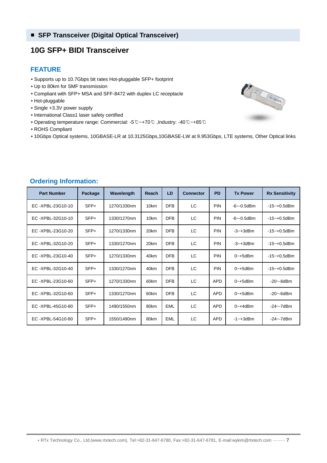### **10G SFP+ BIDI Transceiver**

#### **FEATURE**

- Supports up to 10.7Gbps bit rates Hot-pluggable SFP+ footprint
- Up to 80km for SMF transmission
- Compliant with SFP+ MSA and SFF-8472 with duplex LC receptacle
- Hot-pluggable
- Single +3.3V power supply
- International Class1 laser safety certified
- Operating temperature range: Commercial: -5℃~+70℃ ,Industry: -40℃~+85℃
- ROHS Compliant
- 10Gbps Optical systems, 10GBASE-LR at 10.3125Gbps,10GBASE-LW at 9.953Gbps, LTE systems, Other Optical links

| <b>Part Number</b> | Package | Wavelength  | Reach            | LD.        | <b>Connector</b> | <b>PD</b>  | <b>Tx Power</b> | <b>Rx Sensitivity</b> |
|--------------------|---------|-------------|------------------|------------|------------------|------------|-----------------|-----------------------|
| EC-XPBL-23G10-10   | $SFP+$  | 1270/1330nm | 10 <sub>km</sub> | <b>DFB</b> | LC.              | <b>PIN</b> | $-6 - -0.5$ dBm | $-15 - +0.5$ dBm      |
| EC-XPBL-32G10-10   | $SFP+$  | 1330/1270nm | 10 <sub>km</sub> | <b>DFB</b> | LC               | <b>PIN</b> | $-6 - -0.5$ dBm | $-15 - +0.5$ dBm      |
| EC-XPBL-23G10-20   | SFP+    | 1270/1330nm | 20km             | <b>DFB</b> | LC               | <b>PIN</b> | $-3 - +3d$ Bm   | $-15 - +0.5$ dBm      |
| EC-XPBL-32G10-20   | SFP+    | 1330/1270nm | 20km             | <b>DFB</b> | LC               | <b>PIN</b> | $-3 - +3d$ Bm   | $-15 - +0.5$ dBm      |
| EC-XPBL-23G10-40   | $SFP+$  | 1270/1330nm | 40km             | <b>DFB</b> | LC               | <b>PIN</b> | $0$ ~+5dBm      | $-15 - +0.5$ dBm      |
| EC-XPBL-32G10-40   | $SFP+$  | 1330/1270nm | 40km             | <b>DFB</b> | LC               | <b>PIN</b> | $0$ ~+5dBm      | $-15 - +0.5$ dBm      |
| EC-XPBL-23G10-60   | SFP+    | 1270/1330nm | 60km             | <b>DFB</b> | LC               | <b>APD</b> | $0$ ~+5dBm      | $-20$ ~ $-6$ dBm      |
| EC-XPBL-32G10-60   | $SFP+$  | 1330/1270nm | 60km             | <b>DFB</b> | LC               | <b>APD</b> | $0$ ~+5dBm      | $-20$ ~ $-6$ dBm      |
| EC-XPBL-45G10-80   | $SFP+$  | 1490/1550nm | 80km             | <b>EML</b> | LC               | <b>APD</b> | $0 - +4$ dBm    | $-24 - 7dBr$          |
| EC-XPBL-54G10-80   | SFP+    | 1550/1490nm | 80km             | <b>EML</b> | LC               | <b>APD</b> | $-1 - +3$ dBm   | $-24 - 7dBr$          |

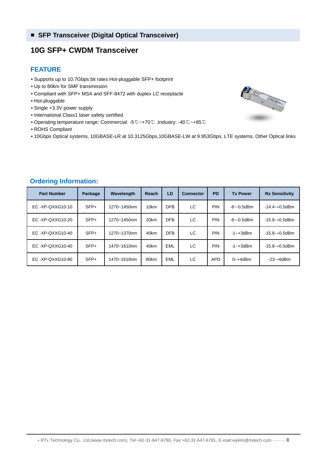### **10G SFP+ CWDM Transceiver**

#### **FEATURE**

- Supports up to 10.7Gbps bit rates Hot-pluggable SFP+ footprint
- Up to 80km for SMF transmission
- Compliant with SFP+ MSA and SFF-8472 with duplex LC receptacle
- Hot-pluggable
- Single +3.3V power supply
- International Class1 laser safety certified
- Operating temperature range: Commercial: -5℃~+70℃ ,Industry: -40℃~+85℃
- ROHS Compliant
- 10Gbps Optical systems, 10GBASE-LR at 10.3125Gbps,10GBASE-LW at 9.953Gbps, LTE systems, Other Optical links

| <b>Part Number</b> | Package | Wavelength  | Reach | LD.        | <b>Connector</b> | <b>PD</b>  | <b>Tx Power</b>   | <b>Rx Sensitivity</b> |
|--------------------|---------|-------------|-------|------------|------------------|------------|-------------------|-----------------------|
| EC-XP-QXXG10-10    | $SFP+$  | 1270~1450nm | 10km  | <b>DFB</b> | LC               | <b>PIN</b> | $-6$ ~ $-0.5$ dBm | $-14.4 - +0.5$ dBm    |
| EC-XP-QXXG10-20    | $SFP+$  | 1270~1450nm | 20km  | <b>DFB</b> | LC               | <b>PIN</b> | $-6$ ~ $-0.5$ dBm | $-15.8 - +0.5$ dBm    |
| EC-XP-QXXG10-40    | $SFP+$  | 1270~1370nm | 40km  | <b>DFB</b> | LC               | <b>PIN</b> | $-1 - +3$ dBm     | $-15.8 - +0.5$ dBm    |
| EC-XP-QXXG10-40    | $SFP+$  | 1470~1610nm | 40km  | <b>EML</b> | LC               | <b>PIN</b> | $-1 - +3$ dBm     | $-15.8 - +0.5$ dBm    |
| EC-XP-QXXG10-80    | $SFP+$  | 1470~1610nm | 80km  | <b>EML</b> | LC               | <b>APD</b> | $0$ ~+4dBm        | $-23 - +6d$ Bm        |

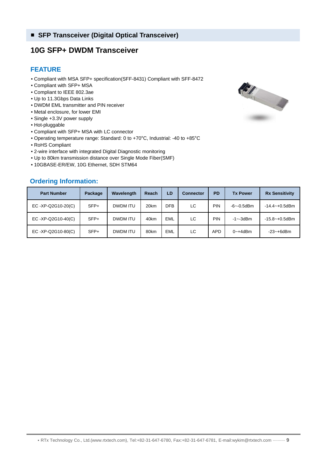### **10G SFP+ DWDM Transceiver**

#### **FEATURE**

- Compliant with MSA SFP+ specification(SFF-8431) Compliant with SFF-8472
- Compliant with SFP+ MSA
- Compliant to IEEE 802.3ae
- Up to 11.3Gbps Data Links
- DWDM EML transmitter and PIN receiver
- Metal enclosure, for lower EMI
- Single +3.3V power supply

**Ordering Information:**

- Hot-pluggable
- Compliant with SFP+ MSA with LC connector
- Operating temperature range: Standard: 0 to +70°C, Industrial: -40 to +85°C
- RoHS Compliant
- 2-wire interface with integrated Digital Diagnostic monitoring
- Up to 80km transmission distance over Single Mode Fiber(SMF)
- 10GBASE-ER/EW, 10G Ethernet, SDH STM64



| <b>Part Number</b> | Package | Wavelength      | Reach            | LD         | <b>Connector</b> | <b>PD</b>  | <b>Tx Power</b> | <b>Rx Sensitivity</b> |
|--------------------|---------|-----------------|------------------|------------|------------------|------------|-----------------|-----------------------|
| EC-XP-Q2G10-20(C)  | SFP+    | <b>DWDM ITU</b> | 20 <sub>km</sub> | <b>DFB</b> | LC               | <b>PIN</b> | $-6 - -0.5$ dBm | $-14.4 - +0.5$ dBm    |
| EC-XP-Q2G10-40(C)  | SFP+    | <b>DWDM ITU</b> | 40 <sub>km</sub> | <b>EML</b> | LC.              | PIN        | $-1 - 3d$ Bm    | $-15.8 - +0.5$ dBm    |
| EC-XP-Q2G10-80(C)  | SFP+    | DWDM ITU        | 80 <sub>km</sub> | <b>EML</b> | LC               | <b>APD</b> | $0$ ~+4dBm      | $-23 - +6d$ Bm        |

#### • RTx Technology Co., Ltd.(www.rtxtech.com), Tel:+82-31-647-6780, Fax:+82-31-647-6781, E-mail:wykim@rtxtech.com ·········· **9**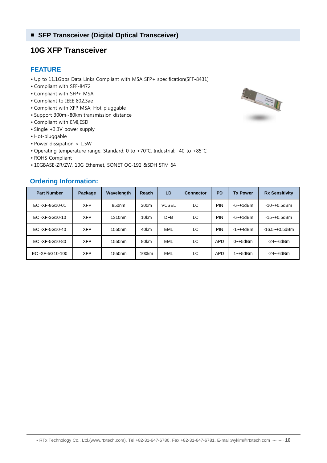### **10G XFP Transceiver**

#### **FEATURE**

- Up to 11.1Gbps Data Links Compliant with MSA SFP+ specification(SFF-8431)
- Compliant with SFF-8472
- Compliant with SFP+ MSA
- Compliant to IEEE 802.3ae
- Compliant with XFP MSA; Hot-pluggable
- Support 300m~80km transmission distance
- Compliant with EMI,ESD
- Single +3.3V power supply
- Hot-pluggable
- Power dissipation < 1.5W
- Operating temperature range: Standard: 0 to +70°C, Industrial: -40 to +85°C
- ROHS Compliant
- 10GBASE-ZR/ZW, 10G Ethernet, SONET OC-192 &SDH STM 64



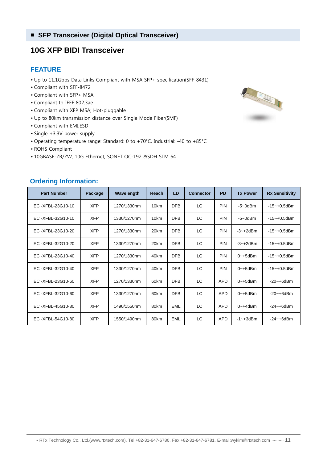### **10G XFP BIDI Transceiver**

#### **FEATURE**

- Up to 11.1Gbps Data Links Compliant with MSA SFP+ specification(SFF-8431)
- Compliant with SFF-8472
- Compliant with SFP+ MSA
- Compliant to IEEE 802.3ae
- Compliant with XFP MSA; Hot-pluggable
- Up to 80km transmission distance over Single Mode Fiber(SMF)
- Compliant with EMI,ESD
- Single +3.3V power supply
- Operating temperature range: Standard: 0 to +70°C, Industrial: -40 to +85°C
- ROHS Compliant
- 10GBASE-ZR/ZW, 10G Ethernet, SONET OC-192 &SDH STM 64



| <b>Part Number</b> | Package    | Wavelength  | <b>Reach</b> | LD         | <b>Connector</b> | <b>PD</b>  | <b>Tx Power</b> | <b>Rx Sensitivity</b> |
|--------------------|------------|-------------|--------------|------------|------------------|------------|-----------------|-----------------------|
| EC-XFBL-23G10-10   | <b>XFP</b> | 1270/1330nm | 10km         | <b>DFB</b> | LC               | <b>PIN</b> | $-5 - 0$ dBm    | $-15 - +0.5$ dBm      |
| EC-XFBL-32G10-10   | <b>XFP</b> | 1330/1270nm | 10km         | <b>DFB</b> | LC               | <b>PIN</b> | $-5 - 0$ dBm    | $-15 - +0.5$ dBm      |
| EC-XFBL-23G10-20   | <b>XFP</b> | 1270/1330nm | 20km         | <b>DFB</b> | LC               | <b>PIN</b> | $-3 - +2d$ Bm   | $-15 - +0.5$ dBm      |
| EC-XFBL-32G10-20   | <b>XFP</b> | 1330/1270nm | 20km         | <b>DFB</b> | LC               | <b>PIN</b> | $-3 - +2d$ Bm   | $-15 - +0.5$ dBm      |
| EC-XFBL-23G10-40   | <b>XFP</b> | 1270/1330nm | 40km         | <b>DFB</b> | LC               | <b>PIN</b> | $0$ ~+5dBm      | $-15 - +0.5$ dBm      |
| EC-XFBL-32G10-40   | <b>XFP</b> | 1330/1270nm | 40km         | <b>DFB</b> | LC               | <b>PIN</b> | $0$ ~+5dBm      | $-15 - +0.5$ dBm      |
| EC-XFBL-23G10-60   | <b>XFP</b> | 1270/1330nm | 60km         | <b>DFB</b> | LC               | <b>APD</b> | $0$ ~+5dBm      | $-20 - +6$ dBm        |
| EC-XFBL-32G10-60   | <b>XFP</b> | 1330/1270nm | 60km         | <b>DFB</b> | LC               | <b>APD</b> | $0$ ~+5dBm      | $-20 - + 6d$ Bm       |
| EC-XFBL-45G10-80   | <b>XFP</b> | 1490/1550nm | 80km         | <b>EML</b> | LC               | <b>APD</b> | $0$ ~+4dBm      | $-24 - + 6d$ Bm       |
| EC-XFBL-54G10-80   | <b>XFP</b> | 1550/1490nm | 80km         | <b>EML</b> | LC               | <b>APD</b> | $-1 - +3$ dBm   | $-24 - + 6d$ Bm       |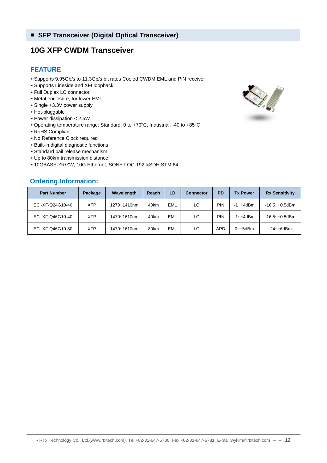### **10G XFP CWDM Transceiver**

#### **FEATURE**

- Supports 9.95Gb/s to 11.3Gb/s bit rates Cooled CWDM EML and PIN receiver
- Supports Lineside and XFI loopback
- Full Duplex LC connector
- Metal enclosure, for lower EMI
- Single +3.3V power supply
- Hot-pluggable
- Power dissipation < 2.5W
- Operating temperature range: Standard: 0 to +70°C, Industrial: -40 to +85°C
- RoHS Compliant
- No Reference Clock required
- Built-in digital diagnostic functions
- Standard bail release mechanism
- Up to 80km transmission distance
- 10GBASE-ZR/ZW, 10G Ethernet, SONET OC-192 &SDH STM 64



| <b>Part Number</b> | Package    | Wavelength  | Reach            | LD         | <b>Connector</b> | <b>PD</b>  | <b>Tx Power</b> | <b>Rx Sensitivity</b> |
|--------------------|------------|-------------|------------------|------------|------------------|------------|-----------------|-----------------------|
| EC-XF-Q24G10-40    | <b>XFP</b> | 1270~1410nm | 40 <sub>km</sub> | EML        | LC.              | PIN        | $-1 - + 4d$ Bm  | $-16.5 - +0.5$ dBm    |
| EC-XF-Q46G10-40    | <b>XFP</b> | 1470~1610nm | 40 <sub>km</sub> | <b>EML</b> | LC               | PIN        | $-1 - + 4d$ Bm  | $-16.5 - +0.5$ dBm    |
| EC-XF-Q46G10-80    | <b>XFP</b> | 1470~1610nm | 80km             | EML        | LC               | <b>APD</b> | $0$ ~+5dBm      | -24~+6dBm             |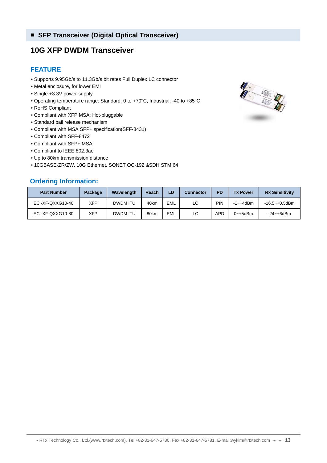### **10G XFP DWDM Transceiver**

#### **FEATURE**

- Supports 9.95Gb/s to 11.3Gb/s bit rates Full Duplex LC connector
- Metal enclosure, for lower EMI
- Single +3.3V power supply
- Operating temperature range: Standard: 0 to +70°C, Industrial: -40 to +85°C
- RoHS Compliant
- Compliant with XFP MSA; Hot-pluggable
- Standard bail release mechanism
- Compliant with MSA SFP+ specification(SFF-8431)
- Compliant with SFF-8472
- Compliant with SFP+ MSA
- Compliant to IEEE 802.3ae
- Up to 80km transmission distance
- 10GBASE-ZR/ZW, 10G Ethernet, SONET OC-192 &SDH STM 64



| <b>Part Number</b> | Package    | Wavelength | Reach | LD.        | Connector | <b>PD</b>  | <b>Tx Power</b> | <b>Rx Sensitivity</b> |
|--------------------|------------|------------|-------|------------|-----------|------------|-----------------|-----------------------|
| $EC$ -XF-QXXG10-40 | <b>XFP</b> | DWDM ITU   | 40km  | <b>EML</b> | LC        | <b>PIN</b> | $-1 - + 4d$ Bm  | $-16.5 - +0.5$ dBm    |
| EC-XF-QXXG10-80    | <b>XFP</b> | DWDM ITU   | 80km  | <b>EML</b> | LC        | APD        | $0$ ~+5dBm      | -24~+6dBm             |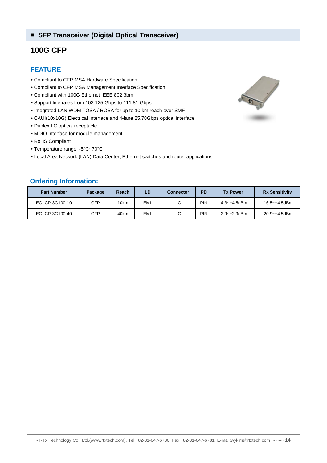### **100G CFP**

#### **FEATURE**

- Compliant to CFP MSA Hardware Specification
- Compliant to CFP MSA Management Interface Specification
- Compliant with 100G Ethernet IEEE 802.3bm
- Support line rates from 103.125 Gbps to 111.81 Gbps
- Integrated LAN WDM TOSA / ROSA for up to 10 km reach over SMF
- CAUI(10x10G) Electrical Interface and 4-lane 25.78Gbps optical interface
- Duplex LC optical receptacle
- MDIO Interface for module management
- RoHS Compliant
- Temperature range: -5°C~70°C
- Local Area Network (LAN),Data Center, Ethernet switches and router applications

| <b>Part Number</b> | Package | Reach | LD  | <b>Connector</b> | <b>PD</b>  | <b>Tx Power</b>   | <b>Rx Sensitivity</b> |
|--------------------|---------|-------|-----|------------------|------------|-------------------|-----------------------|
| EC-CP-3G100-10     | CFP     | 10km  | EML | LC               | <b>PIN</b> | $-4.3 - +4.5$ dBm | $-16.5 - +4.5$ dBm    |
| EC-CP-3G100-40     | CFP     | 40km  | EML | LC.              | <b>PIN</b> | $-2.9 - +2.9$ dBm | -20.9~+4.5dBm         |